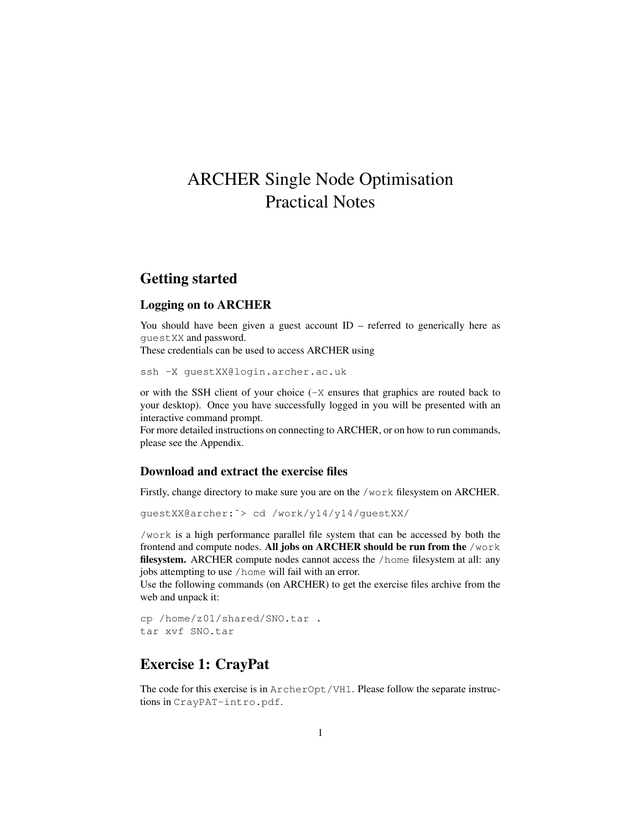# ARCHER Single Node Optimisation Practical Notes

# Getting started

### Logging on to ARCHER

You should have been given a guest account  $ID$  – referred to generically here as guestXX and password.

These credentials can be used to access ARCHER using

ssh -X guestXX@login.archer.ac.uk

or with the SSH client of your choice  $(-x)$  ensures that graphics are routed back to your desktop). Once you have successfully logged in you will be presented with an interactive command prompt.

For more detailed instructions on connecting to ARCHER, or on how to run commands, please see the Appendix.

#### Download and extract the exercise files

Firstly, change directory to make sure you are on the /work filesystem on ARCHER.

guestXX@archer:˜> cd /work/y14/y14/guestXX/

/work is a high performance parallel file system that can be accessed by both the frontend and compute nodes. All jobs on ARCHER should be run from the /work filesystem. ARCHER compute nodes cannot access the /home filesystem at all: any jobs attempting to use /home will fail with an error.

Use the following commands (on ARCHER) to get the exercise files archive from the web and unpack it:

```
cp /home/z01/shared/SNO.tar .
tar xvf SNO.tar
```
### Exercise 1: CrayPat

The code for this exercise is in ArcherOpt/VH1. Please follow the separate instructions in CrayPAT-intro.pdf.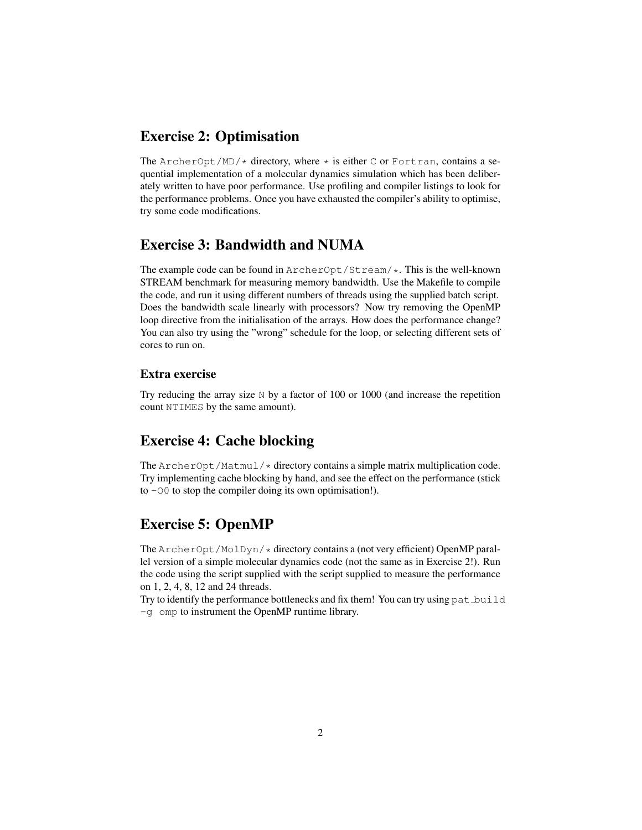## Exercise 2: Optimisation

The ArcherOpt/MD/ $\star$  directory, where  $\star$  is either C or Fortran, contains a sequential implementation of a molecular dynamics simulation which has been deliberately written to have poor performance. Use profiling and compiler listings to look for the performance problems. Once you have exhausted the compiler's ability to optimise, try some code modifications.

# Exercise 3: Bandwidth and NUMA

The example code can be found in ArcherOpt/Stream/\*. This is the well-known STREAM benchmark for measuring memory bandwidth. Use the Makefile to compile the code, and run it using different numbers of threads using the supplied batch script. Does the bandwidth scale linearly with processors? Now try removing the OpenMP loop directive from the initialisation of the arrays. How does the performance change? You can also try using the "wrong" schedule for the loop, or selecting different sets of cores to run on.

### Extra exercise

Try reducing the array size N by a factor of 100 or 1000 (and increase the repetition count NTIMES by the same amount).

# Exercise 4: Cache blocking

The  $ArcherOpt/Matmul \nightharpoonup$  directory contains a simple matrix multiplication code. Try implementing cache blocking by hand, and see the effect on the performance (stick to -O0 to stop the compiler doing its own optimisation!).

### Exercise 5: OpenMP

The ArcherOpt/MolDyn/\* directory contains a (not very efficient) OpenMP parallel version of a simple molecular dynamics code (not the same as in Exercise 2!). Run the code using the script supplied with the script supplied to measure the performance on 1, 2, 4, 8, 12 and 24 threads.

Try to identify the performance bottlenecks and fix them! You can try using pat build -g omp to instrument the OpenMP runtime library.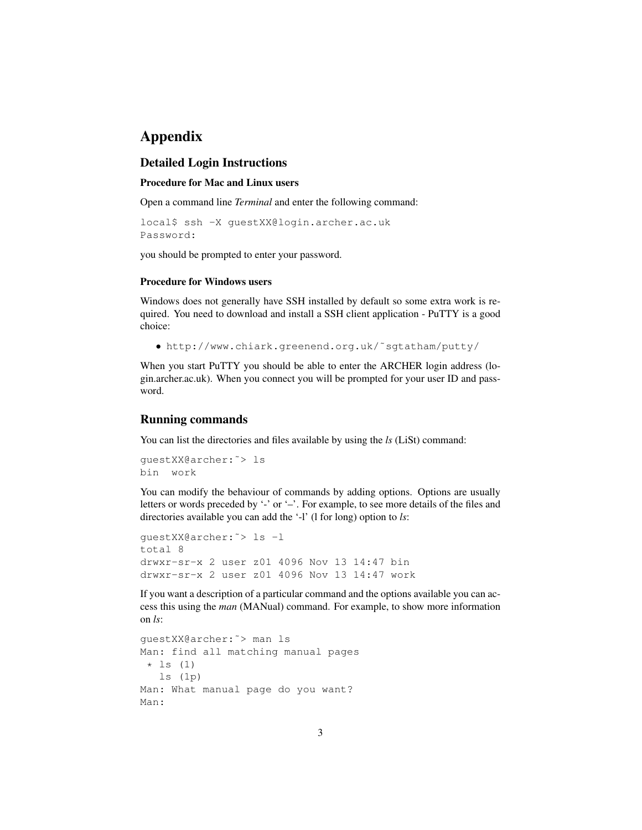# Appendix

### Detailed Login Instructions

#### Procedure for Mac and Linux users

Open a command line *Terminal* and enter the following command:

```
local$ ssh -X guestXX@login.archer.ac.uk
Password:
```
you should be prompted to enter your password.

#### Procedure for Windows users

Windows does not generally have SSH installed by default so some extra work is required. You need to download and install a SSH client application - PuTTY is a good choice:

• http://www.chiark.greenend.org.uk/˜sgtatham/putty/

When you start PuTTY you should be able to enter the ARCHER login address (login.archer.ac.uk). When you connect you will be prompted for your user ID and password.

#### Running commands

You can list the directories and files available by using the *ls* (LiSt) command:

```
guestXX@archer:˜> ls
bin work
```
You can modify the behaviour of commands by adding options. Options are usually letters or words preceded by '-' or '–'. For example, to see more details of the files and directories available you can add the '-l' (l for long) option to *ls*:

```
guestXX@archer:˜> ls -l
total 8
drwxr-sr-x 2 user z01 4096 Nov 13 14:47 bin
drwxr-sr-x 2 user z01 4096 Nov 13 14:47 work
```
If you want a description of a particular command and the options available you can access this using the *man* (MANual) command. For example, to show more information on *ls*:

```
guestXX@archer:˜> man ls
Man: find all matching manual pages
 \star ls (1)
  ls (1p)
Man: What manual page do you want?
Man:
```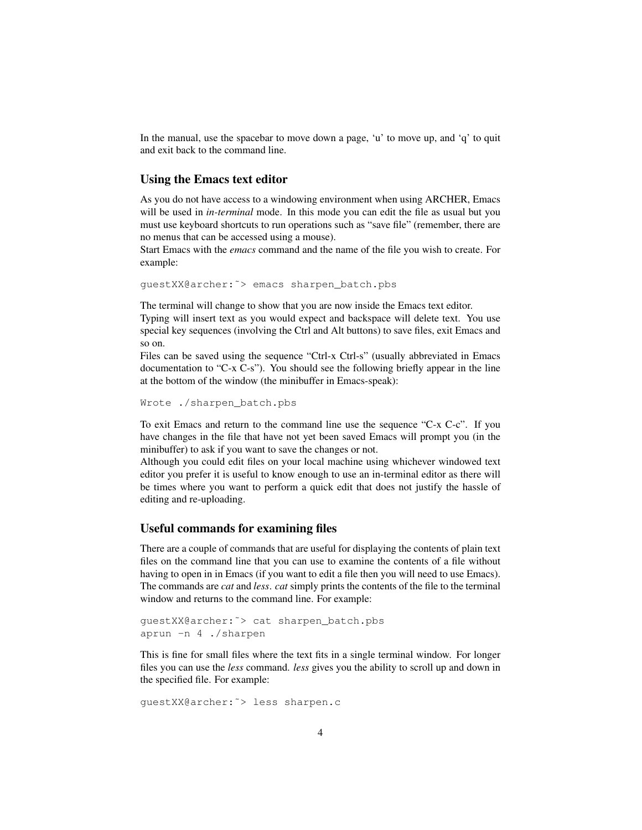In the manual, use the spacebar to move down a page, 'u' to move up, and 'q' to quit and exit back to the command line.

#### Using the Emacs text editor

As you do not have access to a windowing environment when using ARCHER, Emacs will be used in *in-terminal* mode. In this mode you can edit the file as usual but you must use keyboard shortcuts to run operations such as "save file" (remember, there are no menus that can be accessed using a mouse).

Start Emacs with the *emacs* command and the name of the file you wish to create. For example:

guestXX@archer:˜> emacs sharpen\_batch.pbs

The terminal will change to show that you are now inside the Emacs text editor.

Typing will insert text as you would expect and backspace will delete text. You use special key sequences (involving the Ctrl and Alt buttons) to save files, exit Emacs and so on.

Files can be saved using the sequence "Ctrl-x Ctrl-s" (usually abbreviated in Emacs documentation to "C-x C-s"). You should see the following briefly appear in the line at the bottom of the window (the minibuffer in Emacs-speak):

```
Wrote ./sharpen_batch.pbs
```
To exit Emacs and return to the command line use the sequence "C-x C-c". If you have changes in the file that have not yet been saved Emacs will prompt you (in the minibuffer) to ask if you want to save the changes or not.

Although you could edit files on your local machine using whichever windowed text editor you prefer it is useful to know enough to use an in-terminal editor as there will be times where you want to perform a quick edit that does not justify the hassle of editing and re-uploading.

#### Useful commands for examining files

There are a couple of commands that are useful for displaying the contents of plain text files on the command line that you can use to examine the contents of a file without having to open in in Emacs (if you want to edit a file then you will need to use Emacs). The commands are *cat* and *less*. *cat* simply prints the contents of the file to the terminal window and returns to the command line. For example:

```
guestXX@archer:˜> cat sharpen_batch.pbs
aprun -n 4 ./sharpen
```
This is fine for small files where the text fits in a single terminal window. For longer files you can use the *less* command. *less* gives you the ability to scroll up and down in the specified file. For example:

```
guestXX@archer:˜> less sharpen.c
```